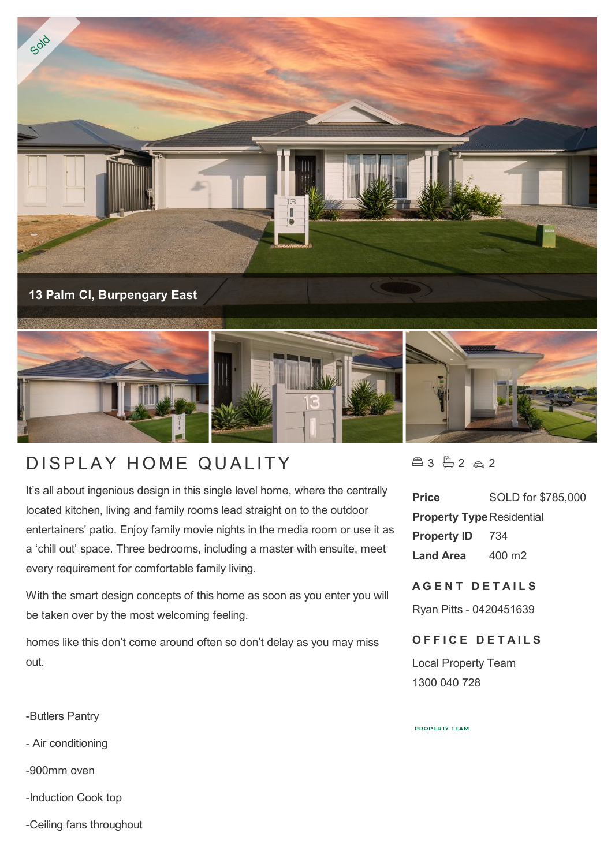

## DISPLAY HOME QUALITY

It's all about ingenious design in this single level home, where the centrally located kitchen, living and family rooms lead straight on to the outdoor entertainers' patio. Enjoy family movie nights in the media room or use it as a 'chill out' space. Three bedrooms, including a master with ensuite, meet every requirement for comfortable family living.

With the smart design concepts of this home as soon as you enter you will be taken over by the most welcoming feeling.

homes like this don't come around often so don't delay as you may miss out.

-Butlers Pantry

- Air conditioning

-900mm oven

-Induction Cook top

-Ceiling fans throughout

 $43 - 2 2 2$ 

**Price** SOLD for \$785,000 **Property Type Residential Property ID** 734 **Land Area** 400 m2

**A G E N T D E T A I L S**

Ryan Pitts - 0420451639

## **OFFICE DETAILS**

Local Property Team 1300 040 728

**PROPERTY TEAM**